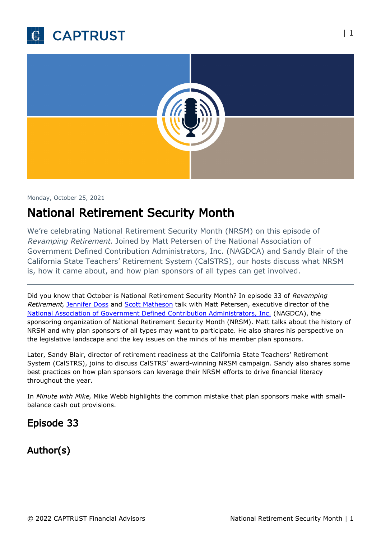



#### Monday, October 25, 2021

# National Retirement Security Month

We're celebrating National Retirement Security Month (NRSM) on this episode of Revamping Retirement. Joined by Matt Petersen of the National Association of Government Defined Contribution Administrators, Inc. (NAGDCA) and Sandy Blair of the California State Teachers' Retirement System (CalSTRS), our hosts discuss what NRSM is, how it came about, and how plan sponsors of all types can get involved.

Did you know that October is National Retirement Security Month? In episode 33 of Revamping Retirement, [Jennifer Doss](https://www.captrust.com/people/jennifer-doss/) and [Scott Matheson](https://www.captrust.com/people/scott-t-matheson-2/) talk with Matt Petersen, executive director of the [National Association of Government Defined Contribution Administrators, Inc.](https://www.nagdca.org/) (NAGDCA), the sponsoring organization of National Retirement Security Month (NRSM). Matt talks about the history of NRSM and why plan sponsors of all types may want to participate. He also shares his perspective on the legislative landscape and the key issues on the minds of his member plan sponsors.

Later, Sandy Blair, director of retirement readiness at the California State Teachers' Retirement System (CalSTRS), joins to discuss CalSTRS' award-winning NRSM campaign. Sandy also shares some best practices on how plan sponsors can leverage their NRSM efforts to drive financial literacy throughout the year.

In Minute with Mike, Mike Webb highlights the common mistake that plan sponsors make with smallbalance cash out provisions.

### Episode 33

## Author(s)